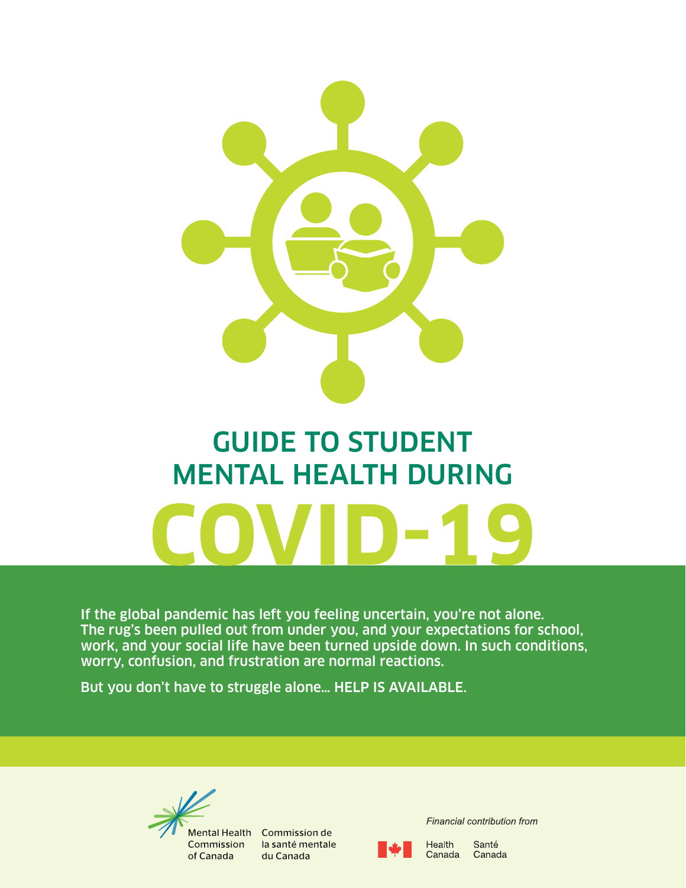

# GUIDE TO STUDENT MENTAL HEALTH DURING **COVID-19**

If the global pandemic has left you feeling uncertain, you're not alone. The rug's been pulled out from under you, and your expectations for school, work, and your social life have been turned upside down. In such conditions, worry, confusion, and frustration are normal reactions.

But you don't have to struggle alone… HELP IS AVAILABLE.



Mental Health Commission de Commission la santé mentale du Canada



Financial contribution from

Health Canada

Santé Canada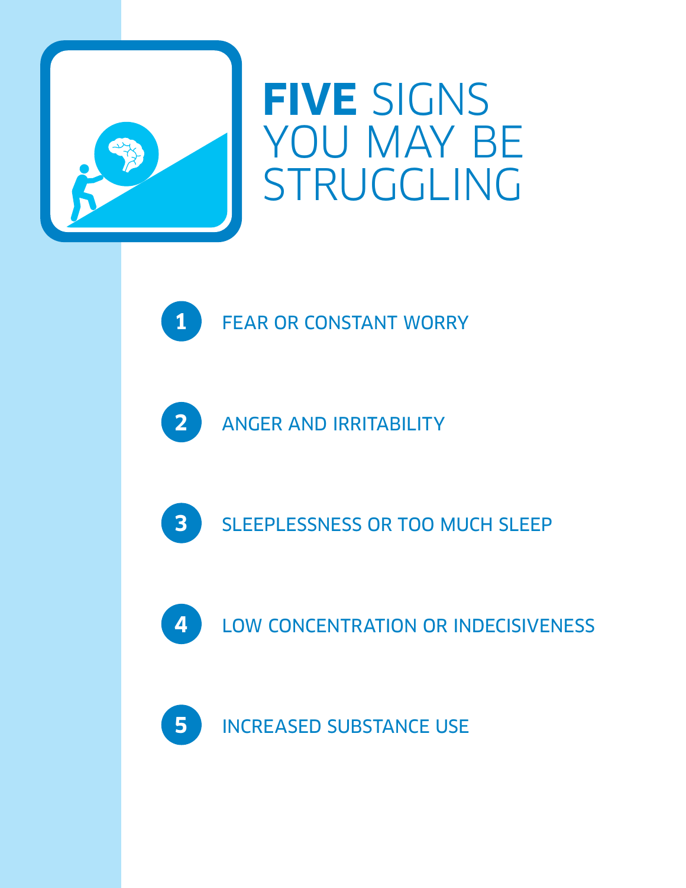

**FIVE** SIGNS YOU MAY BE STRUGGLING





**1**

ANGER AND IRRITABILITY



SLEEPLESSNESS OR TOO MUCH SLEEP



LOW CONCENTRATION OR INDECISIVENESS



INCREASED SUBSTANCE USE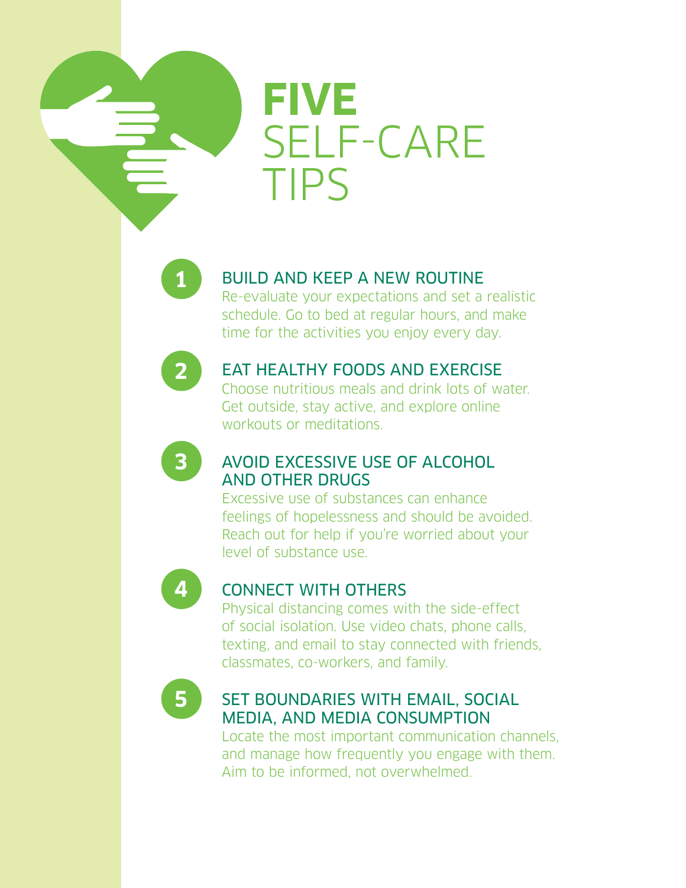## **FIVE** SELF-CARE TIPS

### BUILD AND KEEP A NEW ROUTINE

Re-evaluate your expectations and set a realistic schedule. Go to bed at regular hours, and make time for the activities you enjoy every day.



**1**

### EAT HEALTHY FOODS AND EXERCISE

Choose nutritious meals and drink lots of water. Get outside, stay active, and explore online workouts or meditations.



### AVOID EXCESSIVE USE OF ALCOHOL AND OTHER DRUGS

Excessive use of substances can enhance feelings of hopelessness and should be avoided. Reach out for help if you're worried about your level of substance use.



### CONNECT WITH OTHERS

Physical distancing comes with the side-effect of social isolation. Use video chats, phone calls, texting, and email to stay connected with friends, classmates, co-workers, and family.



### SET BOUNDARIES WITH EMAIL, SOCIAL MEDIA, AND MEDIA CONSUMPTION

Locate the most important communication channels, and manage how frequently you engage with them. Aim to be informed, not overwhelmed.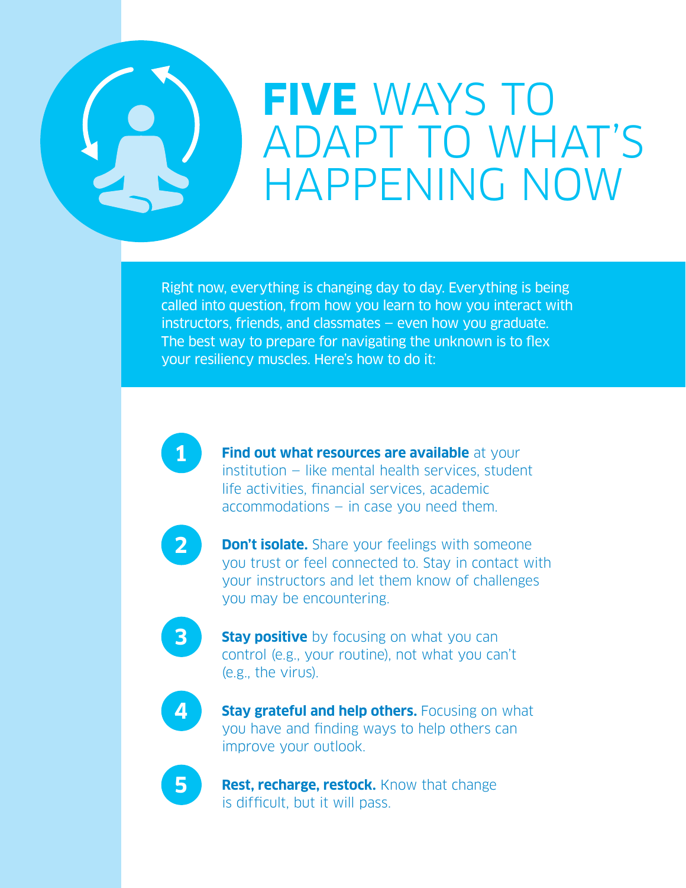

# **FIVE** WAYS TO ADAPT TO WHAT'S HAPPENING NOW

Right now, everything is changing day to day. Everything is being called into question, from how you learn to how you interact with instructors, friends, and classmates — even how you graduate. The best way to prepare for navigating the unknown is to flex your resiliency muscles. Here's how to do it:

- **Find out what resources are available** at your institution — like mental health services, student life activities, financial services, academic  $ac{\rm common}$  accommodations  $-$  in case you need them.
- **2**

**1**

**Don't isolate.** Share your feelings with someone you trust or feel connected to. Stay in contact with your instructors and let them know of challenges you may be encountering.

- **3**
- **Stay positive** by focusing on what you can control (e.g., your routine), not what you can't (e.g., the virus).
- **4**

**Stay grateful and help others.** Focusing on what you have and finding ways to help others can improve your outlook.



**Rest, recharge, restock.** Know that change is difficult, but it will pass.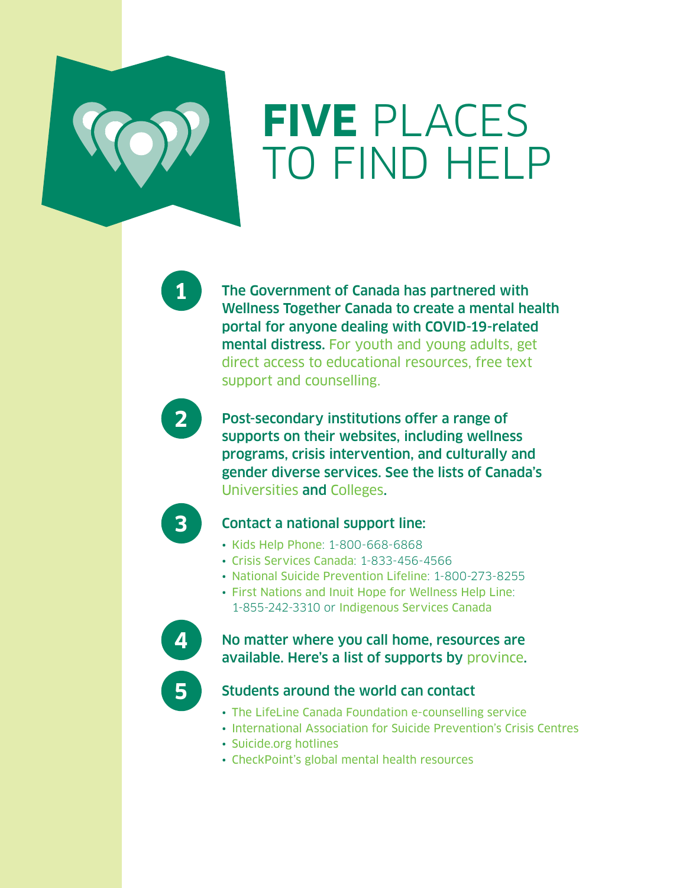

# **FIVE** PLACES TO FIND HELP

**1**

The Government of Canada has partnered with Wellness Together Canada to create a mental health portal for anyone dealing with COVID-19-related mental distress. For youth and [young adults, get](https://ca.portal.gs/)  [direct access to educational resources, free text](https://ca.portal.gs/)  [support and counselling.](https://ca.portal.gs/)



Post-secondary institutions offer a range of supports on their websites, including wellness programs, crisis intervention, and culturally and gender diverse services. See the lists of Canada's [Universities](https://www.univcan.ca/universities/member-universities/) and [Colleges](https://www.collegesinstitutes.ca/our-members/member-directory/).



#### Contact a national support line:

- [Kids Help Phone](https://kidshelpphone.ca/): 1-800-668-6868
- [Crisis Services Canada](https://www.crisisservicescanada.ca/en/): 1-833-456-4566
- [National Suicide Prevention Lifeline](https://suicidepreventionlifeline.org/): 1-800-273-8255
- [First Nations and Inuit Hope for Wellness Help Line](https://www.sac-isc.gc.ca/eng/1576089519527/1576089566478): 1-855-242-3310 or [Indigenous Services Canada](https://sac-isc.gc.ca/)
- **4**

#### No matter where you call home, resources are available. Here's a list of supports by [province](https://carleton.ca/wellness/provincial-support-resources/).

**5**

#### Students around the world can contact

- [The LifeLine Canada Foundation e-counselling service](https://thelifelinecanada.ca/pattern-interrupt/ecounselling/)
- [International Association for Suicide Prevention's Crisis Centres](https://www.iasp.info/resources/Crisis_Centres/)
- [Suicide.org hotlines](http://www.suicide.org/)
- [CheckPoint's global mental health resources](https://checkpointorg.com/global/)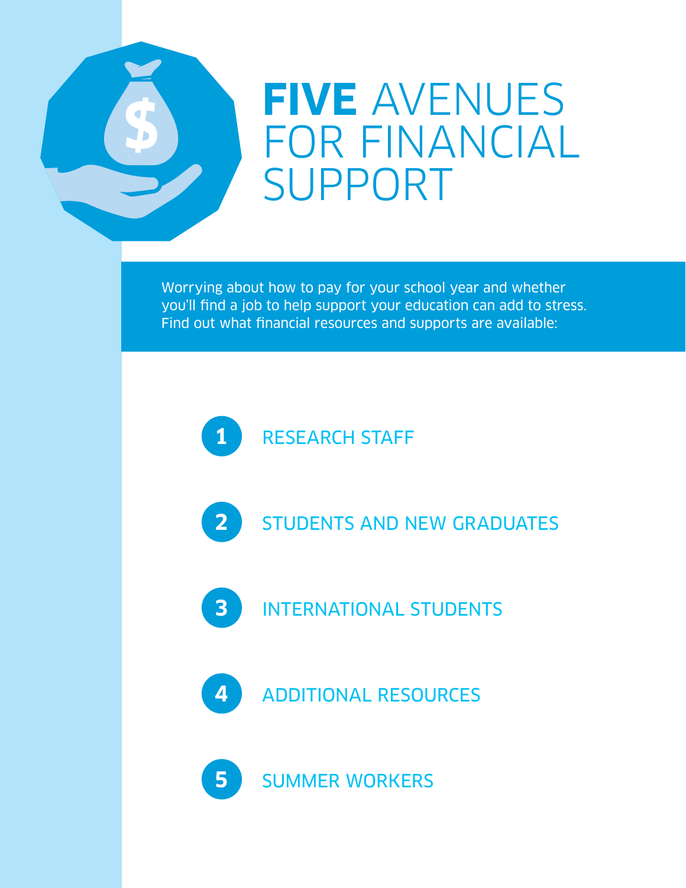

## **FIVE** AVENUES FOR FINANCIAL SUPPORT

Worrying about how to pay for your school year and whether you'll find a job to help support your education can add to stress. Find out what financial resources and supports are available:









[INTERNATIONAL STUDENTS](https://www.canada.ca/en/immigration-refugees-citizenship/news/notices/pgwpp-rules-covid19.html)



[ADDITIONAL RESOURCES](https://www.educanada.ca/study-plan-etudes/covid-19/update-covid-19-mise-a-jour.aspx?lang=eng)



[SUMMER WORKERS](https://pm.gc.ca/en/news/news-releases/2020/04/08/changes-canada-summer-jobs-program-help-businesses-and-young)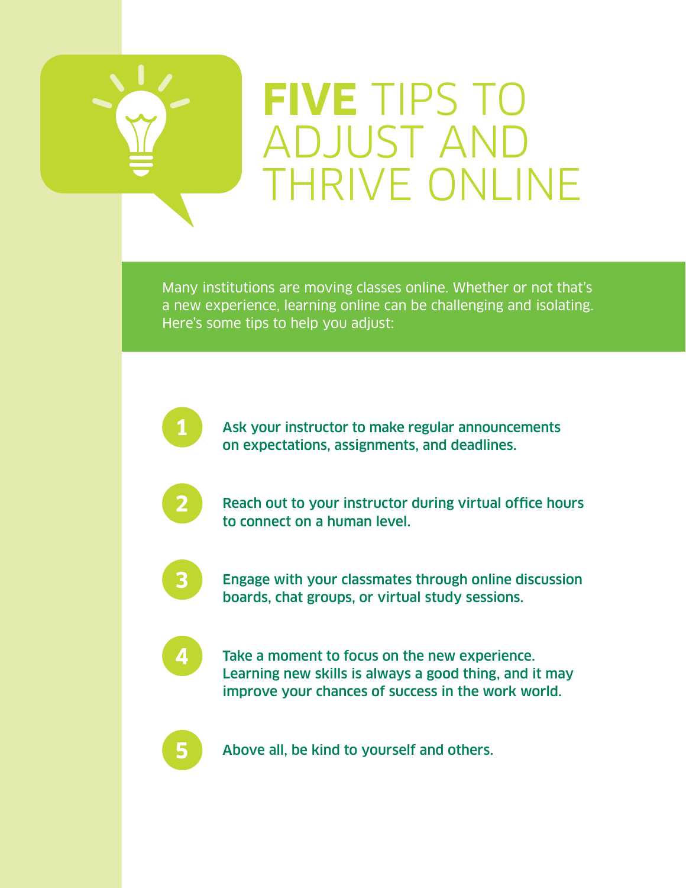# **FIVE** TIPS TO ADJUST AND THRIVE ONLINE

Many institutions are moving classes online. Whether or not that's a new experience, learning online can be challenging and isolating. Here's some tips to help you adjust:

- Ask your instructor to make regular announcements on expectations, assignments, and deadlines.
- Reach out to your instructor during virtual office hours to connect on a human level.
- **3**

**4**

**2**

**1**

- Engage with your classmates through online discussion boards, chat groups, or virtual study sessions.
- Take a moment to focus on the new experience. Learning new skills is always a good thing, and it may improve your chances of success in the work world.



Above all, be kind to yourself and others.